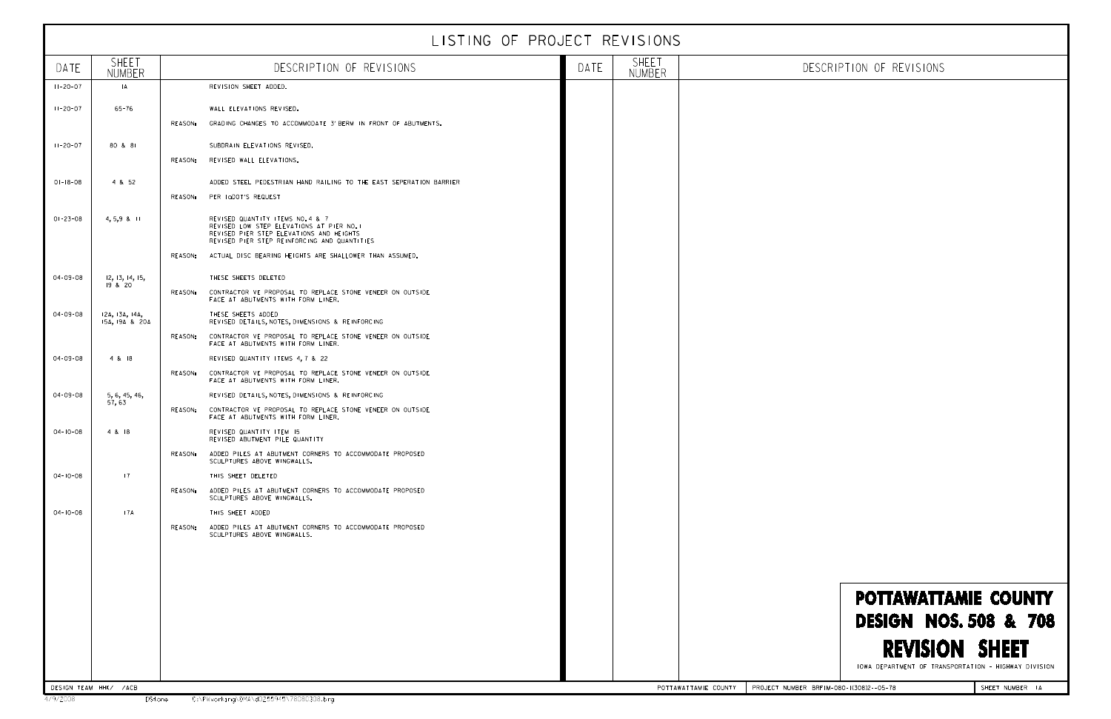|                |                                  |         | LISTING OF PROJECT REVISIONS                                                                                                                                              |      |                               |                                                                            |
|----------------|----------------------------------|---------|---------------------------------------------------------------------------------------------------------------------------------------------------------------------------|------|-------------------------------|----------------------------------------------------------------------------|
| DATE           | SHEET<br>NUMBER                  |         | DESCRIPTION OF REVISIONS                                                                                                                                                  | DATE | <b>SHEET</b><br><b>NUMBER</b> | DESCRIPTION OF REVISIONS                                                   |
| $11 - 20 - 07$ | A                                |         | REVISION SHEET ADDED.                                                                                                                                                     |      |                               |                                                                            |
| $11 - 20 - 07$ | $65 - 76$                        |         | WALL ELEVATIONS REVISED.                                                                                                                                                  |      |                               |                                                                            |
|                |                                  | REASON: | GRADING CHANGES TO ACCOMMODATE 3' BERM IN FRONT OF ABUTMENTS.                                                                                                             |      |                               |                                                                            |
| $11 - 20 - 07$ | 80 & 81                          |         | SUBDRAIN ELEVATIONS REVISED.                                                                                                                                              |      |                               |                                                                            |
|                |                                  | REASON: | REVISED WALL ELEVATIONS.                                                                                                                                                  |      |                               |                                                                            |
| $01 - 18 - 08$ | 4 & 52                           |         | ADDED STEEL PEDESTRIAN HAND RAILING TO THE EAST SEPERATION BARRIER                                                                                                        |      |                               |                                                                            |
|                |                                  | REASON: | PER IQDOT'S REQUEST                                                                                                                                                       |      |                               |                                                                            |
| $01 - 23 - 08$ | $4, 5, 9$ & II                   |         | REVISED QUANTITY ITEMS NO. 4 & 7<br>REVISED LOW STEP ELEVATIONS AT PIER NO. I<br>REVISED PIER STEP ELEVATIONS AND HEIGHTS<br>REVISED PIER STEP REINFORCING AND QUANTITIES |      |                               |                                                                            |
|                |                                  | REASON: | ACTUAL DISC BEARING HEIGHTS ARE SHALLOWER THAN ASSUMED.                                                                                                                   |      |                               |                                                                            |
| 04-09-08       | 12, 13, 14, 15,                  |         | THESE SHEETS DELETED                                                                                                                                                      |      |                               |                                                                            |
|                | 19 & 20                          | REASON: | CONTRACTOR VE PROPOSAL TO REPLACE STONE VENEER ON OUTSIDE<br>FACE AT ABUTMENTS WITH FORM LINER.                                                                           |      |                               |                                                                            |
| 04-09-08       | 12A, 13A, 14A,<br>15A, 19A & 20A |         | THESE SHEETS ADDED<br>REVISED DETAILS, NOTES, DIMENSIONS & REINFORCING                                                                                                    |      |                               |                                                                            |
|                |                                  | REASON: | CONTRACTOR VE PROPOSAL TO REPLACE STONE VENEER ON OUTSIDE<br>FACE AT ABUTMENTS WITH FORM LINER.                                                                           |      |                               |                                                                            |
| 04-09-08       | 4 & 18                           |         | REVISED QUANTITY ITEMS 4, 7 & 22                                                                                                                                          |      |                               |                                                                            |
|                |                                  | REASON: | CONTRACTOR VE PROPOSAL TO REPLACE STONE VENEER ON OUTSIDE<br>FACE AT ABUTMENTS WITH FORM LINER.                                                                           |      |                               |                                                                            |
| 04-09-08       | 5, 6, 45, 46,<br>57, 63          |         | REVISED DETAILS, NOTES, DIMENSIONS & REINFORCING                                                                                                                          |      |                               |                                                                            |
|                |                                  |         | REASON: CONTRACTOR VE PROPOSAL TO REPLACE STONE VENEER ON OUTSIDE<br>FACE AT ABUTMENTS WITH FORM LINER.                                                                   |      |                               |                                                                            |
| $04 - 10 - 08$ | 4 & 18                           |         | REVISED QUANTITY ITEM 15<br>REVISED ABUTMENT PILE QUANTITY                                                                                                                |      |                               |                                                                            |
|                |                                  |         | REASON: ADDED PILES AT ABUTMENT CORNERS TO ACCOMMODATE PROPOSED<br>SCULPTURES ABOVE WINGWALLS.                                                                            |      |                               |                                                                            |
| $04 - 10 - 08$ | 7                                |         | THIS SHEET DELETED                                                                                                                                                        |      |                               |                                                                            |
|                |                                  |         | REASON: ADDED PILES AT ABUTMENT CORNERS TO ACCOMMODATE PROPOSED<br>SCULPTURES ABOVE WINGWALLS.                                                                            |      |                               |                                                                            |
| $04 - 10 - 08$ | 17A                              |         | THIS SHEET ADDED                                                                                                                                                          |      |                               |                                                                            |
|                |                                  |         | REASON: ADDED PILES AT ABUTMENT CORNERS TO ACCOMMODATE PROPOSED<br>SCULPTURES ABOVE WINGWALLS.                                                                            |      |                               |                                                                            |
|                |                                  |         |                                                                                                                                                                           |      |                               |                                                                            |
|                |                                  |         |                                                                                                                                                                           |      |                               |                                                                            |
|                |                                  |         |                                                                                                                                                                           |      |                               | <b>POTTAWATTAMIE COUNT</b>                                                 |
|                |                                  |         |                                                                                                                                                                           |      |                               |                                                                            |
|                |                                  |         |                                                                                                                                                                           |      |                               | <b>DESIGN NOS. 508 &amp; 70</b>                                            |
|                |                                  |         |                                                                                                                                                                           |      |                               | <b>REVISION SHEET</b><br>IOWA DEPARTMENT OF TRANSPORTATION - HIGHWAY DIVIS |
|                | DESIGN TEAM HHK/ /ACB            |         |                                                                                                                                                                           |      | POTTAWATTAMIE COUNTY          | PROJECT NUMBER BRFIM-080-1(308)2--05-78<br>SHEET NUMBER 14                 |

IOWA DEPARTMENT OF TRANSPORTATION - HIGHWAY DIVISION IOWA DEPARTMENT OF TRANSPORTATION - HIGHWAY DIVISION

## REVISION SHEET DESIGN NOS. 508 & 708 POTTAWATTAMIE COUNTY DESIGN FOR 0^ SKEW POTTAWATTAMIE COUNTY DEVISION SHEET ww.architecture.com/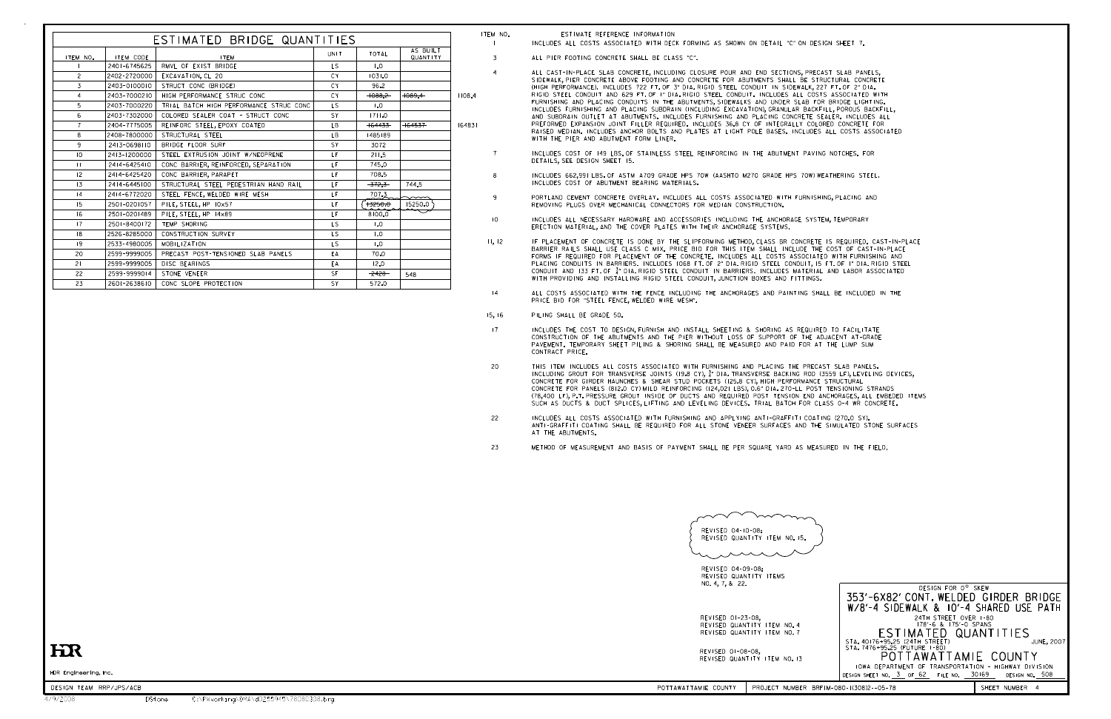HDR Engineering, Inc.

3

8

9

10

7

4

1

INCLUDES ALL COSTS ASSOCIATED WITH DECK FORMING AS SHOWN ON DETAIL "C" ON DESIGN SHEET 7.

ALL PIER FOOTING CONCRETE SHALL BE CLASS "C".

| ESTIMATED BRIDGE QUANTITIES |              |                                         |             |           |                      |        |
|-----------------------------|--------------|-----------------------------------------|-------------|-----------|----------------------|--------|
| ITEM NO.                    | ITEM CODE    | <b>ITEM</b>                             | <b>UNIT</b> | TOTAL     | AS BUILT<br>QUANTITY |        |
|                             | 2401-6745625 | RMVL OF EXIST BRIDGE                    | LS.         | 1.0       |                      |        |
| $\overline{c}$              | 2402-2720000 | EXCAVATION, CL 20                       | CY          | 1031.0    |                      |        |
| 3                           | 2403-0100010 | STRUCT CONC (BRIDGE)                    | CY.         | 96.2      |                      |        |
| 4                           | 2403-7000210 | HIGH PERFORMANCE STRUC CONC             | <b>CY</b>   | $+088.2$  | $+089.4$             | 1108.4 |
| 5                           | 2403-7000220 | TRIAL BATCH HIGH PERFORMANCE STRUC CONC | LS.         | 1.0       |                      |        |
| 6                           | 2403-7302000 | COLORED SEALER COAT - STRUCT CONC       | SY          | 1711.0    |                      |        |
| $\overline{7}$              | 2404-7775005 | REINFORC STEEL, EPOXY COATED            | LB.         | $+64433-$ | $+64537$             | 164831 |
| 8                           | 2408-7800000 | STRUCTURAL STEEL                        | LB          | 1485189   |                      |        |
| 9                           | 2413-0698110 | BRIDGE FLOOR SURF                       | SY          | 3072      |                      |        |
| 10                          | 2413-1200000 | STEEL EXTRUSION JOINT W/NEOPRENE        | LF          | 211.5     |                      |        |
| $\mathbf{H}$                | 2414-6425410 | CONC BARRIER, REINFORCED, SEPARATION    | LF          | 745.0     |                      |        |
| 12                          | 2414-6425420 | CONC BARRIER, PARAPET                   | LF.         | 708.5     |                      |        |
| 13                          | 2414-6445100 | STRUCTURAL STEEL PEDESTRIAN HAND RAIL   | LF          | $-372.3-$ | 744.5                |        |
| 4                           | 2414-6772020 | STEEL FENCE, WELDED WIRE MESH           | LF.         | 707.3     |                      |        |
| 15                          | 2501-0201057 | PILE, STEEL, HP 10x57                   | LF          | $+3250.0$ | 15250.0              |        |
| 16                          | 2501-0201489 | PILE, STEEL, HP 14x89                   | LF          | 8100.0    |                      |        |
| 17                          | 2501-8400172 | TEMP SHORING                            | LS.         | 1.0       |                      |        |
| 8                           | 2526-8285000 | CONSTRUCTION SURVEY                     | LS.         | 1.0       |                      |        |
| 19                          | 2533-4980005 | MOBIL IZATION                           | LS.         | 1.0       |                      |        |
| 20                          | 2599-9999005 | PRECAST POST-TENSIONED SLAB PANELS      | EA          | 70.0      |                      |        |
| 21                          | 2599-9999005 | DISC BEARINGS                           | EA          | 12.0      |                      |        |
| 22                          | 2599-9999014 | STONE VENEER                            | SF          | $-2428-$  | 548                  |        |
| 23                          | 2601-2638610 | CONC SLOPE PROTECTION                   | SY          | 572.0     |                      |        |

## ITEM NO. **ESTIMATE REFERENCE INFORMATION**



|                                                            | $\sim\sim$<br>$\sim$<br>$\sim$                                                               |
|------------------------------------------------------------|----------------------------------------------------------------------------------------------|
|                                                            | REVISED 04-10-08:<br>REVISED QUANTITY ITEM NO. 15.                                           |
|                                                            | . $\sim$                                                                                     |
|                                                            | REVISED 04-09-08:<br>REVISED QUANTITY ITEMS<br>NO. 4, 7, & 22.                               |
|                                                            | 353'-6X82<br>$W/8' - 4$ SI                                                                   |
|                                                            | REVISED 01-23-08,<br>REVISED QUANTITY ITEM NO. 4<br>ES<br>REVISED QUANTITY ITEM NO. 7        |
| $\mathop{\rm E}\nolimits$                                  | STA. 40176+95.2<br>STA. 7476+95.2<br>REVISED 01-08-08,<br>PC<br>REVISED QUANTITY ITEM NO. 13 |
| <b>IDR Engineering, Inc.</b>                               | <b>IOWA DEPAR</b><br>DESIGN SHEET NO.                                                        |
| DESIGN TEAM RRP/JPS/ACB                                    | POTTAWATTAMIE COUNTY<br>PROJECT NUMBER BRFIM-080-1(308)2--05-78                              |
| C:\PWworking\0MA\d0255945\78080308.brg<br>9/2008<br>DStone |                                                                                              |

## HR

- ALL CAST-IN-PLACE SLAB CONCRETE, INCLUDING CLOSURE POUR AND END SECTIONS, PRECAST SLAB PANELS, SIDEWALK, PIER CONCRETE ABOVE FOOTING AND CONCRETE FOR ABUTMENTS SHALL BE STRUCTURAL CONCRETE (HIGH PERFORMANCE). INCLUDES 722 FT. OF 3" DIA. RIGID STEEL CONDUIT IN SIDEWALK, 227 FT. OF 2" DIA. RIGID STEEL CONDUIT AND 629 FT. OF 1" DIA. RIGID STEEL CONDUIT. INCLUDES ALL COSTS ASSOCIATED WITH FURNISHING AND PLACING CONDUITS IN THE ABUTMENTS, SIDEWALKS AND UNDER SLAB FOR BRIDGE LIGHTING. INCLUDES FURNISHING AND PLACING SUBDRAIN (INCLUDING EXCAVATION), GRANULAR BACKFILL, POROUS BACKFILL, AND SUBDRAIN OUTLET AT ABUTMENTS. INCLUDES FURNISHING AND PLACING CONCRETE SEALER. INCLUDES ALL PREFORMED EXPANSION JOINT FILLER REQUIRED. INCLUDES 36.8 CY OF INTEGRALLY COLORED CONCRETE FOR RAISED MEDIAN. INCLUDES ANCHOR BOLTS AND PLATES AT LIGHT POLE BASES. INCLUDES ALL COSTS ASSOCIATED WITH THE PIER AND ABUTMENT FORM LINER.
- INCLUDES COST OF 149 LBS. OF STAINLESS STEEL REINFORCING IN THE ABUTMENT PAVING NOTCHES. FOR DETAILS, SEE DESIGN SHEET 15.
- INCLUDES 662,991 LBS. OF ASTM A709 GRADE HPS 70W (AASHTO M270 GRADE HPS 70W) WEATHERING STEEL. INCLUDES COST OF ABUTMENT BEARING MATERIALS.
- PORTLAND CEMENT CONCRETE OVERLAY. INCLUDES ALL COSTS ASSOCIATED WITH FURNISHING, PLACING AND REMOVING PLUGS OVER MECHANICAL CONNECTORS FOR MEDIAN CONSTRUCTION.
- INCLUDES ALL NECESSARY HARDWARE AND ACCESSORIES INCLUDING THE ANCHORAGE SYSTEM, TEMPORARY ERECTION MATERIAL, AND THE COVER PLATES WITH THEIR ANCHORAGE SYSTEMS.
- 11, 12 IF PLACEMENT OF CONCRETE IS DONE BY THE SLIPFORMING METHOD, CLASS BR CONCRETE IS REQUIRED. CAST-IN-PLACE BARRIER RAILS SHALL USE CLASS C MIX. PRICE BID FOR THIS ITEM SHALL INCLUDE THE COST OF CAST-IN-PLACE FORMS IF REQUIRED FOR PLACEMENT OF THE CONCRETE. INCLUDES ALL COSTS ASSOCIATED WITH FURNISHING AND PLACING CONDUITS IN BARRIERS. INCLUDES 1068 FT. OF 2" DIA. RIGID STEEL CONDUIT, 15 FT. OF 1" DIA. RIGID STEEL CONDUIT AND 133 FT. OF 3/4 " DIA. RIGID STEEL CONDUIT IN BARRIERS. INCLUDES MATERIAL AND LABOR ASSOCIATED WITH PROVIDING AND INSTALLING RIGID STEEL CONDUIT, JUNCTION BOXES AND FITTINGS.
- 14 ALL COSTS ASSOCIATED WITH THE FENCE INCLUDING THE ANCHORAGES AND PAINTING SHALL BE INCLUDED IN THE PRICE BID FOR "STEEL FENCE, WELDED WIRE MESH".
- 15, 16 PILING SHALL BE GRADE 50.
- 17 INCLUDES THE COST TO DESIGN, FURNISH AND INSTALL SHEETING & SHORING AS REQUIRED TO FACILITATE CONSTRUCTION OF THE ABUTMENTS AND THE PIER WITHOUT LOSS OF SUPPORT OF THE ADJACENT AT-GRADE PAVEMENT. TEMPORARY SHEET PILING & SHORING SHALL BE MEASURED AND PAID FOR AT THE LUMP SUM CONTRACT PRICE.
- 20 THIS ITEM INCLUDES ALL COSTS ASSOCIATED WITH FURNISHING AND PLACING THE PRECAST SLAB PANELS. INCLUDING GROUT FOR TRANSVERSE JOINTS (19.8 CY),  $\frac{3}{4}$ " DIA. TRANSVERSE BACKING ROD (3559 LF), LEVELING DEVICES, CONCRETE FOR GIRDER HAUNCHES & SHEAR STUD POCKETS (125.8 CY), HIGH PERFORMANCE STRUCTURAL CONCRETE FOR PANELS (812.0 CY) MILD REINFORCING (124,021 LBS), 0.6" DIA. 270-LL POST TENSIONING STRANDS (78,400 LF), P.T. PRESSURE GROUT INSIDE OF DUCTS AND REQUIRED POST TENSION END ANCHORAGES, ALL EMBEDED ITEMS SUCH AS DUCTS & DUCT SPLICES, LIFTING AND LEVELING DEVICES. TRIAL BATCH FOR CLASS 0-4 WR CONCRETE.
- 22 INCLUDES ALL COSTS ASSOCIATED WITH FURNISHING AND APPLYING ANTI-GRAFFITI COATING (270.0 SY). ANTI-GRAFFITI COATING SHALL BE REQUIRED FOR ALL STONE VENEER SURFACES AND THE SIMULATED STONE SURFACES AT THE ABUTMENTS.
- 23 METHOD OF MEASUREMENT AND BASIS OF PAYMENT SHALL BE PER SQUARE YARD AS MEASURED IN THE FIELD.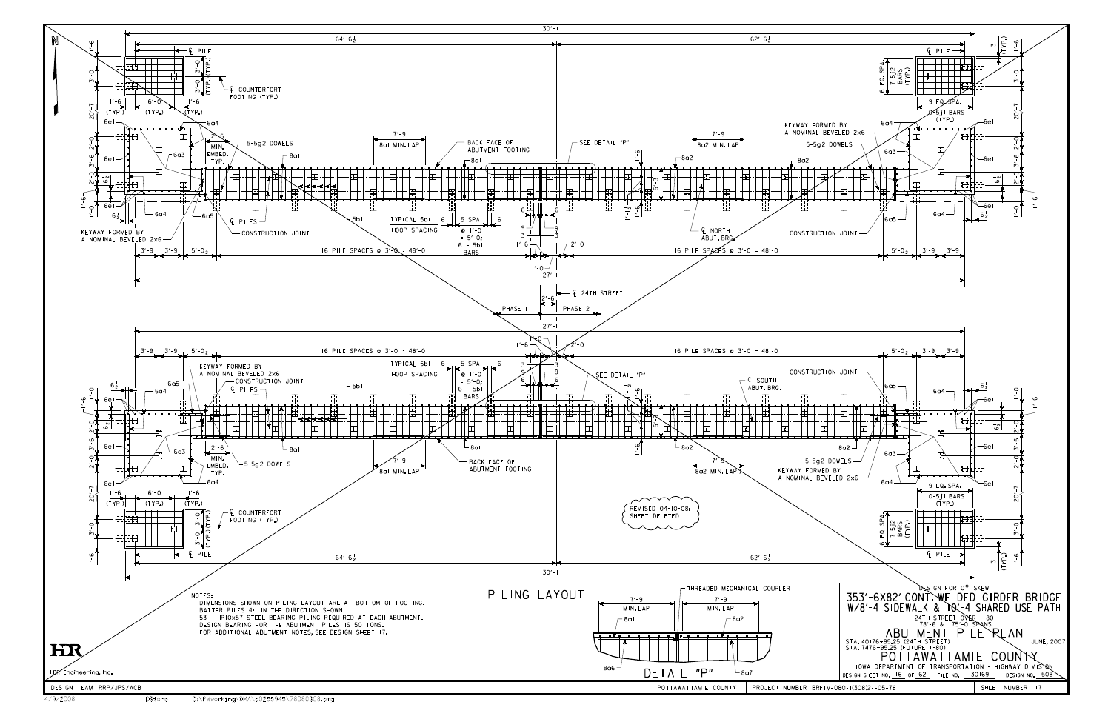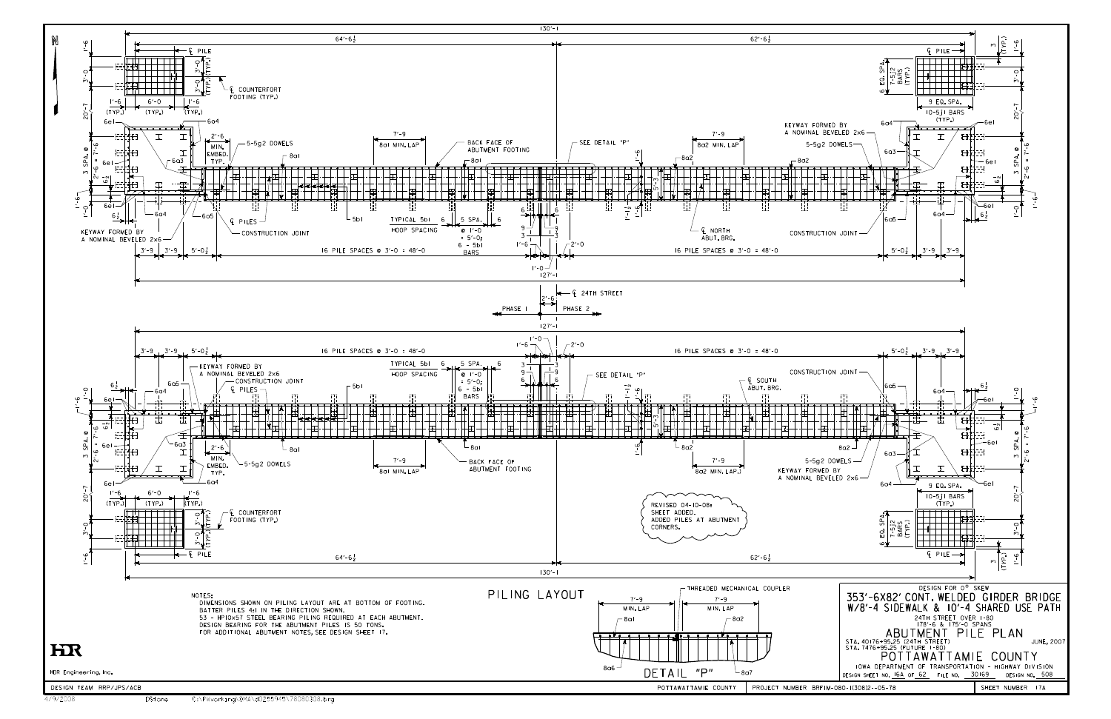

4/9/2008 DStone C:\PWworking\OMA\d0255945\78080308.brg